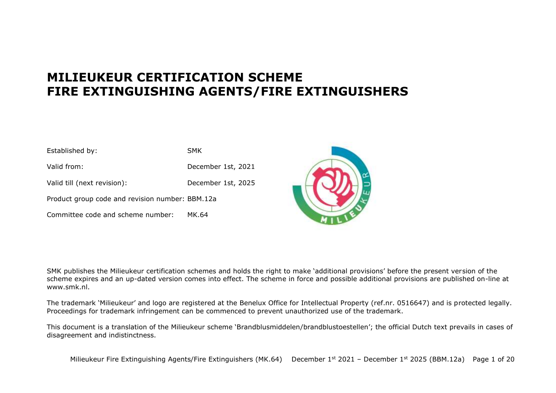# **MILIEUKEUR CERTIFICATION SCHEME FIRE EXTINGUISHING AGENTS/FIRE EXTINGUISHERS**

| Established by:                                 | <b>SMK</b>         |
|-------------------------------------------------|--------------------|
| Valid from:                                     | December 1st, 2021 |
| Valid till (next revision):                     | December 1st, 2025 |
| Product group code and revision number: BBM.12a |                    |
| Committee code and scheme number:               | MK.64              |



SMK publishes the Milieukeur certification schemes and holds the right to make 'additional provisions' before the present version of the scheme expires and an up-dated version comes into effect. The scheme in force and possible additional provisions are published on-line at www.smk.nl.

The trademark 'Milieukeur' and logo are registered at the Benelux Office for Intellectual Property (ref.nr. 0516647) and is protected legally. Proceedings for trademark infringement can be commenced to prevent unauthorized use of the trademark.

This document is a translation of the Milieukeur scheme 'Brandblusmiddelen/brandblustoestellen'; the official Dutch text prevails in cases of disagreement and indistinctness.

Milieukeur Fire Extinguishing Agents/Fire Extinguishers (MK.64) December 1<sup>st</sup> 2021 - December 1st 2025 (BBM.12a) Page 1 of 20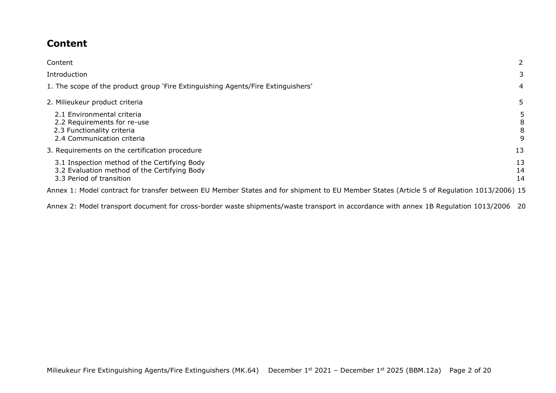## <span id="page-1-0"></span>**Content**

| Content                                                                                                                                   |                  |
|-------------------------------------------------------------------------------------------------------------------------------------------|------------------|
| Introduction                                                                                                                              | 3                |
| 1. The scope of the product group 'Fire Extinguishing Agents/Fire Extinguishers'                                                          | 4                |
| 2. Milieukeur product criteria                                                                                                            | 5.               |
| 2.1 Environmental criteria<br>2.2 Requirements for re-use<br>2.3 Functionality criteria<br>2.4 Communication criteria                     | 5<br>8<br>8<br>9 |
| 3. Requirements on the certification procedure                                                                                            | 13               |
| 3.1 Inspection method of the Certifying Body<br>3.2 Evaluation method of the Certifying Body<br>3.3 Period of transition                  | 13<br>14<br>14   |
| Annex 1: Model contract for transfer between EU Member States and for shipment to EU Member States (Article 5 of Regulation 1013/2006) 15 |                  |

[Annex 2: Model transport document for cross-border waste shipments/waste transport in accordance with annex 1B Regulation 1013/2006 20](#page-19-0)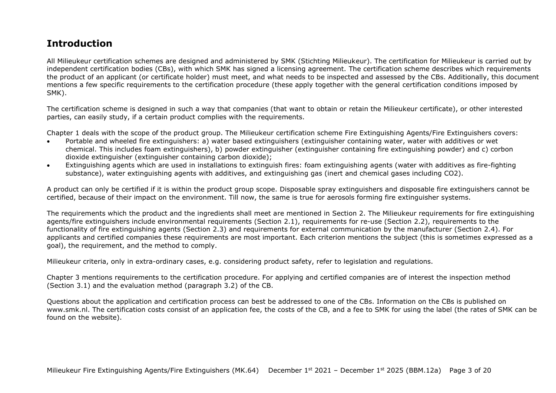## **Introduction**

All Milieukeur certification schemes are designed and administered by SMK (Stichting Milieukeur). The certification for Milieukeur is carried out by independent certification bodies (CBs), with which SMK has signed a licensing agreement. The certification scheme describes which requirements the product of an applicant (or certificate holder) must meet, and what needs to be inspected and assessed by the CBs. Additionally, this document mentions a few specific requirements to the certification procedure (these apply together with the general certification conditions imposed by SMK).

The certification scheme is designed in such a way that companies (that want to obtain or retain the Milieukeur certificate), or other interested parties, can easily study, if a certain product complies with the requirements.

Chapter 1 deals with the scope of the product group. The Milieukeur certification scheme Fire Extinguishing Agents/Fire Extinguishers covers:

- Portable and wheeled fire extinguishers: a) water based extinguishers (extinguisher containing water, water with additives or wet chemical. This includes foam extinguishers), b) powder extinguisher (extinguisher containing fire extinguishing powder) and c) corbon dioxide extinguisher (extinguisher containing carbon dioxide);
- Extinguishing agents which are used in installations to extinguish fires: foam extinguishing agents (water with additives as fire-fighting substance), water extinguishing agents with additives, and extinguishing gas (inert and chemical gases including CO2).

A product can only be certified if it is within the product group scope. Disposable spray extinguishers and disposable fire extinguishers cannot be certified, because of their impact on the environment. Till now, the same is true for aerosols forming fire extinguisher systems.

The requirements which the product and the ingredients shall meet are mentioned in Section 2. The Milieukeur requirements for fire extinguishing agents/fire extinguishers include environmental requirements (Section 2.1), requirements for re-use (Section 2.2), requirements to the functionality of fire extinguishing agents (Section 2.3) and requirements for external communication by the manufacturer (Section 2.4). For applicants and certified companies these requirements are most important. Each criterion mentions the subject (this is sometimes expressed as a goal), the requirement, and the method to comply.

Milieukeur criteria, only in extra-ordinary cases, e.g. considering product safety, refer to legislation and regulations.

Chapter 3 mentions requirements to the certification procedure. For applying and certified companies are of interest the inspection method (Section 3.1) and the evaluation method (paragraph 3.2) of the CB.

Questions about the application and certification process can best be addressed to one of the CBs. Information on the CBs is published on www.smk.nl. The certification costs consist of an application fee, the costs of the CB, and a fee to SMK for using the label (the rates of SMK can be found on the website).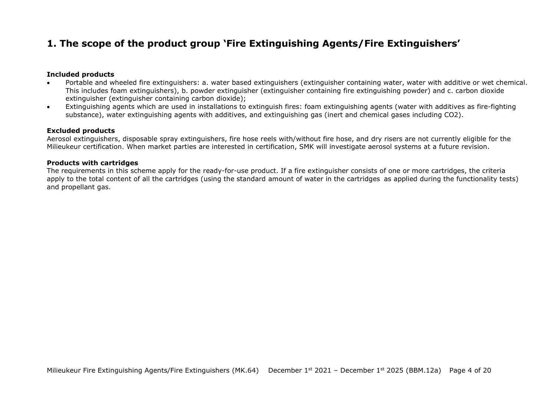## <span id="page-3-0"></span>**1. The scope of the product group 'Fire Extinguishing Agents/Fire Extinguishers'**

#### **Included products**

- Portable and wheeled fire extinguishers: a. water based extinguishers (extinguisher containing water, water with additive or wet chemical. This includes foam extinguishers), b. powder extinguisher (extinguisher containing fire extinguishing powder) and c. carbon dioxide extinguisher (extinguisher containing carbon dioxide);
- Extinguishing agents which are used in installations to extinguish fires: foam extinguishing agents (water with additives as fire-fighting substance), water extinguishing agents with additives, and extinguishing gas (inert and chemical gases including CO2).

#### **Excluded products**

Aerosol extinguishers, disposable spray extinguishers, fire hose reels with/without fire hose, and dry risers are not currently eligible for the Milieukeur certification. When market parties are interested in certification, SMK will investigate aerosol systems at a future revision.

#### **Products with cartridges**

The requirements in this scheme apply for the ready-for-use product. If a fire extinguisher consists of one or more cartridges, the criteria apply to the total content of all the cartridges (using the standard amount of water in the cartridges as applied during the functionality tests) and propellant gas.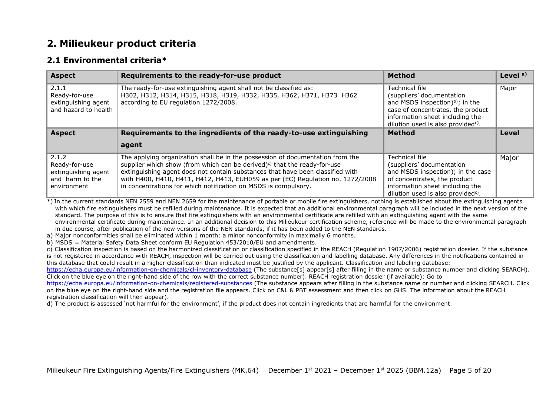## <span id="page-4-0"></span>**2. Milieukeur product criteria**

#### <span id="page-4-1"></span>**2.1 Environmental criteria\***

| <b>Aspect</b>                                                                   | Requirements to the ready-for-use product                                                                                                                                                                                                                                                                                                                                                                     | <b>Method</b>                                                                                                                                                                                                        | Level $a)$ |
|---------------------------------------------------------------------------------|---------------------------------------------------------------------------------------------------------------------------------------------------------------------------------------------------------------------------------------------------------------------------------------------------------------------------------------------------------------------------------------------------------------|----------------------------------------------------------------------------------------------------------------------------------------------------------------------------------------------------------------------|------------|
| 2.1.1<br>Ready-for-use<br>extinguishing agent<br>and hazard to health           | The ready-for-use extinguishing agent shall not be classified as:<br>H302, H312, H314, H315, H318, H319, H332, H335, H362, H371, H373 H362<br>according to EU regulation 1272/2008.                                                                                                                                                                                                                           | Technical file<br>(suppliers' documentation<br>and MSDS inspection) <sup>b)</sup> ; in the<br>case of concentrates, the product<br>information sheet including the<br>dilution used is also provided <sup>c)</sup> . | Major      |
| <b>Aspect</b>                                                                   | Requirements to the ingredients of the ready-to-use extinguishing                                                                                                                                                                                                                                                                                                                                             | <b>Method</b>                                                                                                                                                                                                        | Level      |
|                                                                                 | agent                                                                                                                                                                                                                                                                                                                                                                                                         |                                                                                                                                                                                                                      |            |
| 2.1.2<br>Ready-for-use<br>extinguishing agent<br>and harm to the<br>environment | The applying organization shall be in the possession of documentation from the<br>supplier which show (from which can be derived) <sup>c)</sup> that the ready-for-use<br>extinguishing agent does not contain substances that have been classified with<br>with H400, H410, H411, H412, H413, EUH059 as per (EC) Regulation no. 1272/2008<br>in concentrations for which notification on MSDS is compulsory. | Technical file<br>(suppliers' documentation<br>and MSDS inspection); in the case<br>of concentrates, the product<br>information sheet including the<br>dilution used is also provided <sup>c)</sup> .                | Major      |

\*) In the current standards NEN 2559 and NEN 2659 for the maintenance of portable or mobile fire extinguishers, nothing is established about the extinguishing agents with which fire extinguishers must be refilled during maintenance. It is expected that an additional environmental paragraph will be included in the next version of the standard. The purpose of this is to ensure that fire extinguishers with an environmental certificate are refilled with an extinguishing agent with the same environmental certificate during maintenance. In an additional decision to this Milieukeur certification scheme, reference will be made to the environmental paragraph in due course, after publication of the new versions of the NEN standards, if it has been added to the NEN standards.

a) Major nonconformities shall be eliminated within 1 month; a minor nonconformity in maximally 6 months.

b) MSDS = Material Safety Data Sheet conform EU Regulation 453/2010/EU and amendments.

c) Classification inspection is based on the harmonized classification or classification specified in the REACH (Regulation 1907/2006) registration dossier. If the substance is not registered in accordance with REACH, inspection will be carried out using the classification and labelling database. Any differences in the notifications contained in this database that could result in a higher classification than indicated must be justified by the applicant. Classification and labelling database:

<https://echa.europa.eu/information-on-chemicals/cl-inventory-database> (The substance[s] appear[s] after filling in the name or substance number and clicking SEARCH). Click on the blue eye on the right-hand side of the row with the correct substance number). REACH registration dossier (if available): Go to

<https://echa.europa.eu/information-on-chemicals/registered-substances> (The substance appears after filling in the substance name or number and clicking SEARCH. Click on the blue eye on the right-hand side and the registration file appears. Click on C&L & PBT assessment and then click on GHS. The information about the REACH registration classification will then appear).

d) The product is assessed 'not harmful for the environment', if the product does not contain ingredients that are harmful for the environment.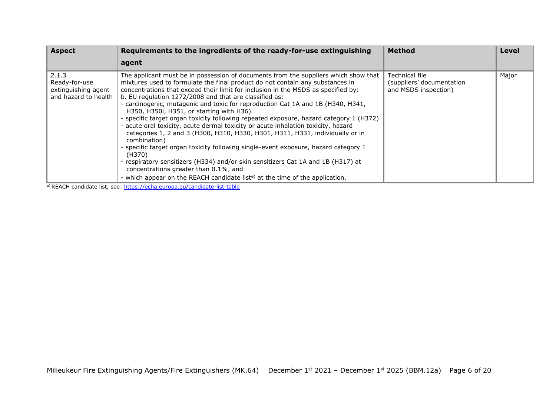| <b>Aspect</b>                                                         | Requirements to the ingredients of the ready-for-use extinguishing                                                                                                                                                                                                                                                                                                                                                                                                                                                                                                                                                                                                                                                                                                                                                                                                                                                                                                                                                                                           | <b>Method</b>                                                       | Level |
|-----------------------------------------------------------------------|--------------------------------------------------------------------------------------------------------------------------------------------------------------------------------------------------------------------------------------------------------------------------------------------------------------------------------------------------------------------------------------------------------------------------------------------------------------------------------------------------------------------------------------------------------------------------------------------------------------------------------------------------------------------------------------------------------------------------------------------------------------------------------------------------------------------------------------------------------------------------------------------------------------------------------------------------------------------------------------------------------------------------------------------------------------|---------------------------------------------------------------------|-------|
|                                                                       | agent                                                                                                                                                                                                                                                                                                                                                                                                                                                                                                                                                                                                                                                                                                                                                                                                                                                                                                                                                                                                                                                        |                                                                     |       |
| 2.1.3<br>Ready-for-use<br>extinguishing agent<br>and hazard to health | The applicant must be in possession of documents from the suppliers which show that<br>mixtures used to formulate the final product do not contain any substances in<br>concentrations that exceed their limit for inclusion in the MSDS as specified by:<br>b. EU regulation 1272/2008 and that are classified as:<br>- carcinogenic, mutagenic and toxic for reproduction Cat 1A and 1B (H340, H341,<br>H350, H350i, H351, or starting with H36)<br>- specific target organ toxicity following repeated exposure, hazard category 1 (H372)<br>- acute oral toxicity, acute dermal toxicity or acute inhalation toxicity, hazard<br>categories 1, 2 and 3 (H300, H310, H330, H301, H311, H331, individually or in<br>combination)<br>- specific target organ toxicity following single-event exposure, hazard category 1<br>(H370)<br>- respiratory sensitizers (H334) and/or skin sensitizers Cat 1A and 1B (H317) at<br>concentrations greater than 0.1%, and<br>- which appear on the REACH candidate list <sup>e)</sup> at the time of the application. | Technical file<br>(suppliers' documentation<br>and MSDS inspection) | Major |

e) REACH candidate list, see[: https://echa.europa.eu/candidate-list-table](https://echa.europa.eu/candidate-list-table)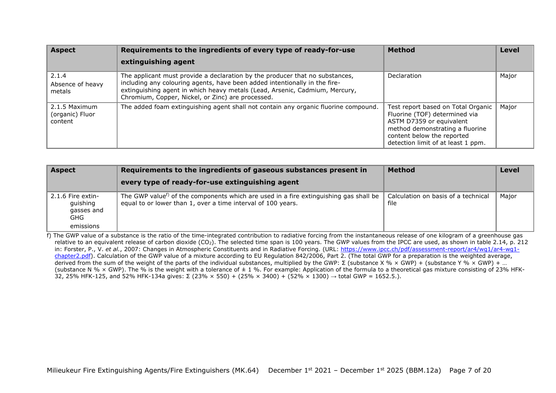| <b>Aspect</b>                               | Requirements to the ingredients of every type of ready-for-use                                                                                                                                                                                                                                 | <b>Method</b>                                                                                                                                                                                          | <b>Level</b> |
|---------------------------------------------|------------------------------------------------------------------------------------------------------------------------------------------------------------------------------------------------------------------------------------------------------------------------------------------------|--------------------------------------------------------------------------------------------------------------------------------------------------------------------------------------------------------|--------------|
|                                             | extinguishing agent                                                                                                                                                                                                                                                                            |                                                                                                                                                                                                        |              |
| 2.1.4<br>Absence of heavy<br>metals         | The applicant must provide a declaration by the producer that no substances,<br>including any colouring agents, have been added intentionally in the fire-<br>extinguishing agent in which heavy metals (Lead, Arsenic, Cadmium, Mercury,<br>Chromium, Copper, Nickel, or Zinc) are processed. | Declaration                                                                                                                                                                                            | Major        |
| 2.1.5 Maximum<br>(organic) Fluor<br>content | The added foam extinguishing agent shall not contain any organic fluorine compound.                                                                                                                                                                                                            | Test report based on Total Organic<br>Fluorine (TOF) determined via<br>ASTM D7359 or equivalent<br>method demonstrating a fluorine<br>content below the reported<br>detection limit of at least 1 ppm. | Major        |

| <b>Aspect</b>                                                    | Requirements to the ingredients of gaseous substances present in                                                                                                  | <b>Method</b>                               | <b>Level</b> |
|------------------------------------------------------------------|-------------------------------------------------------------------------------------------------------------------------------------------------------------------|---------------------------------------------|--------------|
|                                                                  | every type of ready-for-use extinguishing agent                                                                                                                   |                                             |              |
| 2.1.6 Fire extin-<br>guishing<br>gasses and<br>GHG.<br>emissions | The GWP value <sup>f)</sup> of the components which are used in a fire extinguishing gas shall be<br>equal to or lower than 1, over a time interval of 100 years. | Calculation on basis of a technical<br>file | Major        |

f) The GWP value of a substance is the ratio of the time-integrated contribution to radiative forcing from the instantaneous release of one kilogram of a greenhouse gas relative to an equivalent release of carbon dioxide (CO<sub>2</sub>). The selected time span is 100 years. The GWP values from the IPCC are used, as shown in table 2.14, p. 212 in: Forster, P., V. *et al.*, 2007: Changes in Atmospheric Constituents and in Radiative Forcing. (URL: [https://www.ipcc.ch/pdf/assessment-report/ar4/wg1/ar4-wg1](https://www.ipcc.ch/pdf/assessment-report/ar4/wg1/ar4-wg1-chapter2.pdf) [chapter2.pdf\)](https://www.ipcc.ch/pdf/assessment-report/ar4/wg1/ar4-wg1-chapter2.pdf). Calculation of the GWP value of a mixture according to EU Regulation 842/2006, Part 2. (The total GWP for a preparation is the weighted average, derived from the sum of the weight of the parts of the individual substances, multiplied by the GWP: Σ (substance X % × GWP) + (substance Y % × GWP) + ... (substance N %  $\times$  GWP). The % is the weight with a tolerance of  $\pm$  1 %. For example: Application of the formula to a theoretical gas mixture consisting of 23% HFK-32, 25% HFK-125, and 52% HFK-134a gives: Σ (23% × 550) + (25% × 3400) + (52% × 1300) → total GWP = 1652.5.).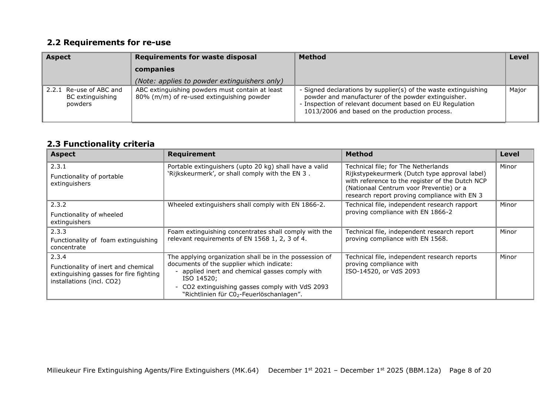## <span id="page-7-0"></span>**2.2 Requirements for re-use**

| <b>Aspect</b>                                          | <b>Requirements for waste disposal</b>                                                       | <b>Method</b>                                                                                                                                                                                                                        | <b>Level</b> |
|--------------------------------------------------------|----------------------------------------------------------------------------------------------|--------------------------------------------------------------------------------------------------------------------------------------------------------------------------------------------------------------------------------------|--------------|
|                                                        | companies                                                                                    |                                                                                                                                                                                                                                      |              |
|                                                        | (Note: applies to powder extinguishers only)                                                 |                                                                                                                                                                                                                                      |              |
| 2.2.1 Re-use of ABC and<br>BC extinguishing<br>powders | ABC extinguishing powders must contain at least<br>80% (m/m) of re-used extinguishing powder | - Signed declarations by supplier(s) of the waste extinguishing<br>powder and manufacturer of the powder extinguisher.<br>- Inspection of relevant document based on EU Regulation<br>1013/2006 and based on the production process. | Major        |

### **2.3 Functionality criteria**

| <b>Aspect</b>                                                                                                       | <b>Requirement</b>                                                                                                                                                                                                                                                   | <b>Method</b>                                                                                                                                                                                                                      | Level |
|---------------------------------------------------------------------------------------------------------------------|----------------------------------------------------------------------------------------------------------------------------------------------------------------------------------------------------------------------------------------------------------------------|------------------------------------------------------------------------------------------------------------------------------------------------------------------------------------------------------------------------------------|-------|
| 2.3.1<br>Functionality of portable<br>extinguishers                                                                 | Portable extinguishers (upto 20 kg) shall have a valid<br>'Rijkskeurmerk', or shall comply with the EN 3.                                                                                                                                                            | Technical file; for The Netherlands<br>Rijkstypekeurmerk (Dutch type approval label)<br>with reference to the register of the Dutch NCP<br>(Nationaal Centrum voor Preventie) or a<br>research report proving compliance with EN 3 | Minor |
| 2.3.2<br>Functionality of wheeled<br>extinguishers                                                                  | Wheeled extinguishers shall comply with EN 1866-2.                                                                                                                                                                                                                   | Technical file, independent research rapport<br>proving compliance with EN 1866-2                                                                                                                                                  | Minor |
| 2.3.3<br>Functionality of foam extinguishing<br>concentrate                                                         | Foam extinguishing concentrates shall comply with the<br>relevant requirements of EN 1568 1, 2, 3 of 4.                                                                                                                                                              | Technical file, independent research report<br>proving compliance with EN 1568.                                                                                                                                                    | Minor |
| 2.3.4<br>Functionality of inert and chemical<br>extinguishing gasses for fire fighting<br>installations (incl. CO2) | The applying organization shall be in the possession of<br>documents of the supplier which indicate:<br>- applied inert and chemical gasses comply with<br>ISO 14520;<br>- CO2 extinguishing gasses comply with VdS 2093<br>"Richtlinien für C02-Feuerlöschanlagen". | Technical file, independent research reports<br>proving compliance with<br>ISO-14520, or VdS 2093                                                                                                                                  | Minor |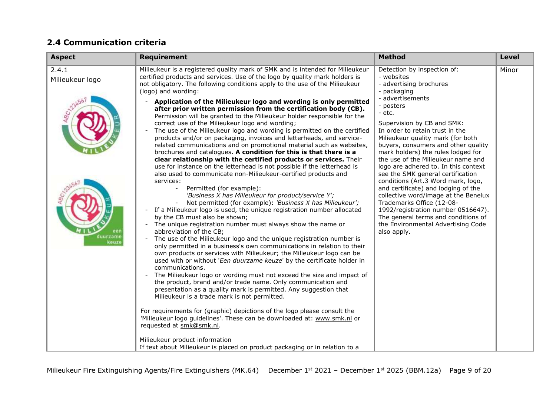## <span id="page-8-0"></span>**2.4 Communication criteria**

| <b>Aspect</b>                                 | <b>Requirement</b>                                                                                                                                                                                                                                                                                                                                                                                                                                                                                                                                                                                                                                                                                                                                                                                                                                                                                                                                                                                                                                                                                                                                                                                                                                                                                                                                                                                                                                                                                                                                                                                                                                                                                                                                                                                                                                                                                                                                                                                                                                                                                                                                                                                                                                                                                                                                                                                       | <b>Method</b>                                                                                                                                                                                                                                                                                                                                                                                                                                                                                                                                                                                                                                                                                                            | <b>Level</b> |
|-----------------------------------------------|----------------------------------------------------------------------------------------------------------------------------------------------------------------------------------------------------------------------------------------------------------------------------------------------------------------------------------------------------------------------------------------------------------------------------------------------------------------------------------------------------------------------------------------------------------------------------------------------------------------------------------------------------------------------------------------------------------------------------------------------------------------------------------------------------------------------------------------------------------------------------------------------------------------------------------------------------------------------------------------------------------------------------------------------------------------------------------------------------------------------------------------------------------------------------------------------------------------------------------------------------------------------------------------------------------------------------------------------------------------------------------------------------------------------------------------------------------------------------------------------------------------------------------------------------------------------------------------------------------------------------------------------------------------------------------------------------------------------------------------------------------------------------------------------------------------------------------------------------------------------------------------------------------------------------------------------------------------------------------------------------------------------------------------------------------------------------------------------------------------------------------------------------------------------------------------------------------------------------------------------------------------------------------------------------------------------------------------------------------------------------------------------------------|--------------------------------------------------------------------------------------------------------------------------------------------------------------------------------------------------------------------------------------------------------------------------------------------------------------------------------------------------------------------------------------------------------------------------------------------------------------------------------------------------------------------------------------------------------------------------------------------------------------------------------------------------------------------------------------------------------------------------|--------------|
| 2.4.1<br>Milieukeur logo<br>duurzami<br>keuze | Milieukeur is a registered quality mark of SMK and is intended for Milieukeur<br>certified products and services. Use of the logo by quality mark holders is<br>not obligatory. The following conditions apply to the use of the Milieukeur<br>(logo) and wording:<br>Application of the Milieukeur logo and wording is only permitted<br>after prior written permission from the certification body (CB).<br>Permission will be granted to the Milieukeur holder responsible for the<br>correct use of the Milieukeur logo and wording;<br>The use of the Milieukeur logo and wording is permitted on the certified<br>$\overline{\phantom{a}}$<br>products and/or on packaging, invoices and letterheads, and service-<br>related communications and on promotional material such as websites,<br>brochures and catalogues. A condition for this is that there is a<br>clear relationship with the certified products or services. Their<br>use for instance on the letterhead is not possible if the letterhead is<br>also used to communicate non-Milieukeur-certified products and<br>services:<br>Permitted (for example):<br>'Business X has Milieukeur for product/service Y';<br>Not permitted (for example): 'Business X has Milieukeur';<br>If a Milieukeur logo is used, the unique registration number allocated<br>by the CB must also be shown;<br>The unique registration number must always show the name or<br>$\overline{\phantom{a}}$<br>abbreviation of the CB;<br>The use of the Milieukeur logo and the unique registration number is<br>$\overline{\phantom{a}}$<br>only permitted in a business's own communications in relation to their<br>own products or services with Milieukeur; the Milieukeur logo can be<br>used with or without 'Een duurzame keuze' by the certificate holder in<br>communications.<br>The Milieukeur logo or wording must not exceed the size and impact of<br>the product, brand and/or trade name. Only communication and<br>presentation as a quality mark is permitted. Any suggestion that<br>Milieukeur is a trade mark is not permitted.<br>For requirements for (graphic) depictions of the logo please consult the<br>'Milieukeur logo guidelines'. These can be downloaded at: www.smk.nl or<br>requested at smk@smk.nl.<br>Milieukeur product information<br>If text about Milieukeur is placed on product packaging or in relation to a | Detection by inspection of:<br>- websites<br>- advertising brochures<br>- packaging<br>- advertisements<br>- posters<br>- etc.<br>Supervision by CB and SMK:<br>In order to retain trust in the<br>Milieukeur quality mark (for both<br>buyers, consumers and other quality<br>mark holders) the rules lodged for<br>the use of the Milieukeur name and<br>logo are adhered to. In this context<br>see the SMK general certification<br>conditions (Art.3 Word mark, logo,<br>and certificate) and lodging of the<br>collective word/image at the Benelux<br>Trademarks Office (12-08-<br>1992/registration number 0516647).<br>The general terms and conditions of<br>the Environmental Advertising Code<br>also apply. | Minor        |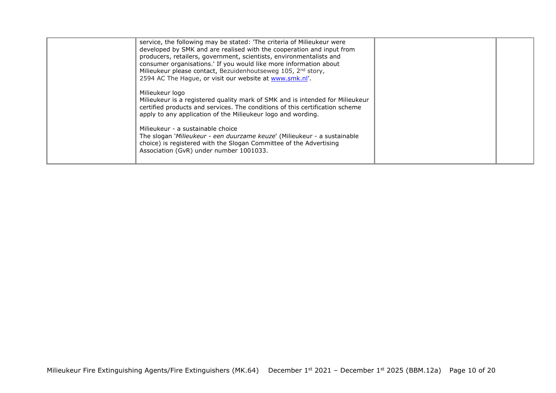| service, the following may be stated: 'The criteria of Milieukeur were<br>developed by SMK and are realised with the cooperation and input from<br>producers, retailers, government, scientists, environmentalists and<br>consumer organisations.' If you would like more information about<br>Milieukeur please contact, Bezuidenhoutseweg 105, 2 <sup>nd</sup> story,<br>2594 AC The Hague, or visit our website at www.smk.nl'. |  |
|------------------------------------------------------------------------------------------------------------------------------------------------------------------------------------------------------------------------------------------------------------------------------------------------------------------------------------------------------------------------------------------------------------------------------------|--|
| Milieukeur logo<br>Milieukeur is a registered quality mark of SMK and is intended for Milieukeur<br>certified products and services. The conditions of this certification scheme<br>apply to any application of the Milieukeur logo and wording.                                                                                                                                                                                   |  |
| Milieukeur - a sustainable choice<br>The slogan 'Milieukeur - een duurzame keuze' (Milieukeur - a sustainable<br>choice) is registered with the Slogan Committee of the Advertising<br>Association (GvR) under number 1001033.                                                                                                                                                                                                     |  |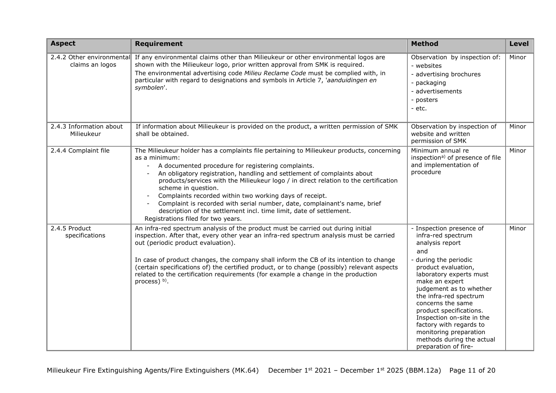| <b>Aspect</b>                         | <b>Requirement</b>                                                                                                                                                                                                                                                                                                                                                                                                                                                                                                                                                                                              | <b>Method</b>                                                                                                                                                                                                                                                                                                                                                                                                   | <b>Level</b> |
|---------------------------------------|-----------------------------------------------------------------------------------------------------------------------------------------------------------------------------------------------------------------------------------------------------------------------------------------------------------------------------------------------------------------------------------------------------------------------------------------------------------------------------------------------------------------------------------------------------------------------------------------------------------------|-----------------------------------------------------------------------------------------------------------------------------------------------------------------------------------------------------------------------------------------------------------------------------------------------------------------------------------------------------------------------------------------------------------------|--------------|
| claims an logos                       | 2.4.2 Other environmental If any environmental claims other than Milieukeur or other environmental logos are<br>shown with the Milieukeur logo, prior written approval from SMK is required.<br>The environmental advertising code Milieu Reclame Code must be complied with, in<br>particular with regard to designations and symbols in Article 7, 'aanduidingen en<br>symbolen'.                                                                                                                                                                                                                             | Observation by inspection of:<br>- websites<br>- advertising brochures<br>- packaging<br>- advertisements<br>- posters<br>- etc.                                                                                                                                                                                                                                                                                | Minor        |
| 2.4.3 Information about<br>Milieukeur | If information about Milieukeur is provided on the product, a written permission of SMK<br>shall be obtained.                                                                                                                                                                                                                                                                                                                                                                                                                                                                                                   | Observation by inspection of<br>website and written<br>permission of SMK                                                                                                                                                                                                                                                                                                                                        | Minor        |
| 2.4.4 Complaint file                  | The Milieukeur holder has a complaints file pertaining to Milieukeur products, concerning<br>as a minimum:<br>A documented procedure for registering complaints.<br>An obligatory registration, handling and settlement of complaints about<br>products/services with the Milieukeur logo / in direct relation to the certification<br>scheme in question.<br>Complaints recorded within two working days of receipt.<br>Complaint is recorded with serial number, date, complainant's name, brief<br>description of the settlement incl. time limit, date of settlement.<br>Registrations filed for two years. | Minimum annual re<br>inspection <sup>a)</sup> of presence of file<br>and implementation of<br>procedure                                                                                                                                                                                                                                                                                                         | Minor        |
| 2.4.5 Product<br>specifications       | An infra-red spectrum analysis of the product must be carried out during initial<br>inspection. After that, every other year an infra-red spectrum analysis must be carried<br>out (periodic product evaluation).<br>In case of product changes, the company shall inform the CB of its intention to change<br>(certain specifications of) the certified product, or to change (possibly) relevant aspects<br>related to the certification requirements (for example a change in the production<br>process) b).                                                                                                 | - Inspection presence of<br>infra-red spectrum<br>analysis report<br>and<br>during the periodic<br>product evaluation,<br>laboratory experts must<br>make an expert<br>judgement as to whether<br>the infra-red spectrum<br>concerns the same<br>product specifications.<br>Inspection on-site in the<br>factory with regards to<br>monitoring preparation<br>methods during the actual<br>preparation of fire- | Minor        |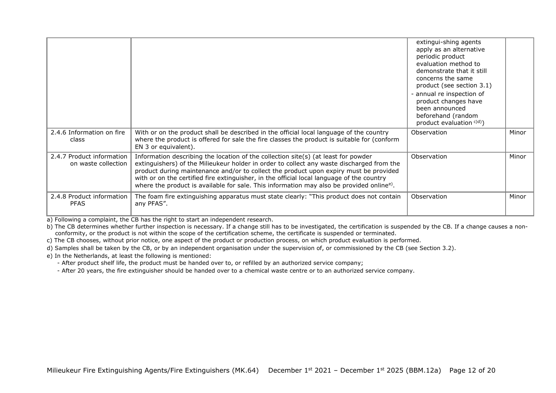|                                                  |                                                                                                                                                                                                                                                                                                                                                                                                                                                                                | extingui-shing agents<br>apply as an alternative<br>periodic product<br>evaluation method to<br>demonstrate that it still<br>concerns the same<br>product (see section 3.1)<br>- annual re inspection of<br>product changes have<br>been announced<br>beforehand (random<br>product evaluation <sup>c)d)</sup> ) |       |
|--------------------------------------------------|--------------------------------------------------------------------------------------------------------------------------------------------------------------------------------------------------------------------------------------------------------------------------------------------------------------------------------------------------------------------------------------------------------------------------------------------------------------------------------|------------------------------------------------------------------------------------------------------------------------------------------------------------------------------------------------------------------------------------------------------------------------------------------------------------------|-------|
| 2.4.6 Information on fire<br>class               | With or on the product shall be described in the official local language of the country<br>where the product is offered for sale the fire classes the product is suitable for (conform<br>EN 3 or equivalent).                                                                                                                                                                                                                                                                 | Observation                                                                                                                                                                                                                                                                                                      | Minor |
| 2.4.7 Product information<br>on waste collection | Information describing the location of the collection site(s) (at least for powder<br>extinguishers) of the Milieukeur holder in order to collect any waste discharged from the<br>product during maintenance and/or to collect the product upon expiry must be provided<br>with or on the certified fire extinguisher, in the official local language of the country<br>where the product is available for sale. This information may also be provided online <sup>e)</sup> . | Observation                                                                                                                                                                                                                                                                                                      | Minor |
| 2.4.8 Product information<br><b>PFAS</b>         | The foam fire extinguishing apparatus must state clearly: "This product does not contain<br>any PFAS".                                                                                                                                                                                                                                                                                                                                                                         | Observation                                                                                                                                                                                                                                                                                                      | Minor |

a) Following a complaint, the CB has the right to start an independent research.

b) The CB determines whether further inspection is necessary. If a change still has to be investigated, the certification is suspended by the CB. If a change causes a nonconformity, or the product is not within the scope of the certification scheme, the certificate is suspended or terminated.

c) The CB chooses, without prior notice, one aspect of the product or production process, on which product evaluation is performed.

d) Samples shall be taken by the CB, or by an independent organisation under the supervision of, or commissioned by the CB (see Section 3.2).

e) In the Netherlands, at least the following is mentioned:

- After product shelf life, the product must be handed over to, or refilled by an authorized service company;

- After 20 years, the fire extinguisher should be handed over to a chemical waste centre or to an authorized service company.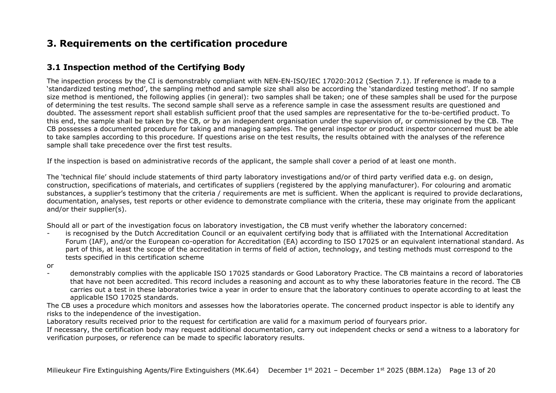## <span id="page-12-0"></span>**3. Requirements on the certification procedure**

### <span id="page-12-1"></span>**3.1 Inspection method of the Certifying Body**

The inspection process by the CI is demonstrably compliant with NEN-EN-ISO/IEC 17020:2012 (Section 7.1). If reference is made to a 'standardized testing method', the sampling method and sample size shall also be according the 'standardized testing method'. If no sample size method is mentioned, the following applies (in general): two samples shall be taken; one of these samples shall be used for the purpose of determining the test results. The second sample shall serve as a reference sample in case the assessment results are questioned and doubted. The assessment report shall establish sufficient proof that the used samples are representative for the to-be-certified product. To this end, the sample shall be taken by the CB, or by an independent organisation under the supervision of, or commissioned by the CB. The CB possesses a documented procedure for taking and managing samples. The general inspector or product inspector concerned must be able to take samples according to this procedure. If questions arise on the test results, the results obtained with the analyses of the reference sample shall take precedence over the first test results.

If the inspection is based on administrative records of the applicant, the sample shall cover a period of at least one month.

The 'technical file' should include statements of third party laboratory investigations and/or of third party verified data e.g. on design, construction, specifications of materials, and certificates of suppliers (registered by the applying manufacturer). For colouring and aromatic substances, a supplier's testimony that the criteria / requirements are met is sufficient. When the applicant is required to provide declarations, documentation, analyses, test reports or other evidence to demonstrate compliance with the criteria, these may originate from the applicant and/or their supplier(s).

Should all or part of the investigation focus on laboratory investigation, the CB must verify whether the laboratory concerned:

- is recognised by the Dutch Accreditation Council or an equivalent certifying body that is affiliated with the International Accreditation Forum (IAF), and/or the European co-operation for Accreditation (EA) according to ISO 17025 or an equivalent international standard. As part of this, at least the scope of the accreditation in terms of field of action, technology, and testing methods must correspond to the tests specified in this certification scheme
- or
- demonstrably complies with the applicable ISO 17025 standards or Good Laboratory Practice. The CB maintains a record of laboratories that have not been accredited. This record includes a reasoning and account as to why these laboratories feature in the record. The CB carries out a test in these laboratories twice a year in order to ensure that the laboratory continues to operate according to at least the applicable ISO 17025 standards.

The CB uses a procedure which monitors and assesses how the laboratories operate. The concerned product inspector is able to identify any risks to the independence of the investigation.

Laboratory results received prior to the request for certification are valid for a maximum period of fouryears prior.

If necessary, the certification body may request additional documentation, carry out independent checks or send a witness to a laboratory for verification purposes, or reference can be made to specific laboratory results.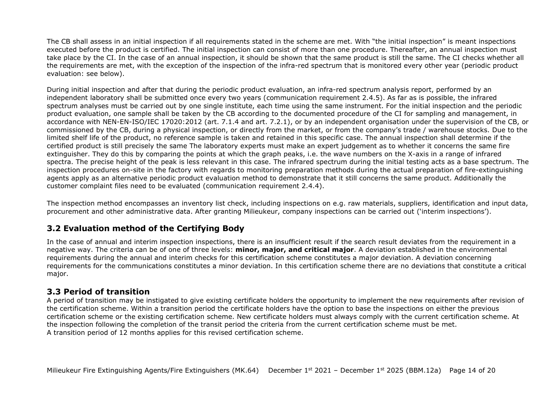The CB shall assess in an initial inspection if all requirements stated in the scheme are met. With "the initial inspection" is meant inspections executed before the product is certified. The initial inspection can consist of more than one procedure. Thereafter, an annual inspection must take place by the CI. In the case of an annual inspection, it should be shown that the same product is still the same. The CI checks whether all the requirements are met, with the exception of the inspection of the infra-red spectrum that is monitored every other year (periodic product evaluation: see below).

During initial inspection and after that during the periodic product evaluation, an infra-red spectrum analysis report, performed by an independent laboratory shall be submitted once every two years (communication requirement 2.4.5). As far as is possible, the infrared spectrum analyses must be carried out by one single institute, each time using the same instrument. For the initial inspection and the periodic product evaluation, one sample shall be taken by the CB according to the documented procedure of the CI for sampling and management, in accordance with NEN-EN-ISO/IEC 17020:2012 (art. 7.1.4 and art. 7.2.1), or by an independent organisation under the supervision of the CB, or commissioned by the CB, during a physical inspection, or directly from the market, or from the company's trade / warehouse stocks. Due to the limited shelf life of the product, no reference sample is taken and retained in this specific case. The annual inspection shall determine if the certified product is still precisely the same The laboratory experts must make an expert judgement as to whether it concerns the same fire extinguisher. They do this by comparing the points at which the graph peaks, i.e. the wave numbers on the X-axis in a range of infrared spectra. The precise height of the peak is less relevant in this case. The infrared spectrum during the initial testing acts as a base spectrum. The inspection procedures on-site in the factory with regards to monitoring preparation methods during the actual preparation of fire-extinguishing agents apply as an alternative periodic product evaluation method to demonstrate that it still concerns the same product. Additionally the customer complaint files need to be evaluated (communication requirement 2.4.4).

The inspection method encompasses an inventory list check, including inspections on e.g. raw materials, suppliers, identification and input data, procurement and other administrative data. After granting Milieukeur, company inspections can be carried out ('interim inspections').

## <span id="page-13-0"></span>**3.2 Evaluation method of the Certifying Body**

In the case of annual and interim inspection inspections, there is an insufficient result if the search result deviates from the requirement in a negative way. The criteria can be of one of three levels: **minor, major, and critical major**. A deviation established in the environmental requirements during the annual and interim checks for this certification scheme constitutes a major deviation. A deviation concerning requirements for the communications constitutes a minor deviation. In this certification scheme there are no deviations that constitute a critical major.

#### <span id="page-13-1"></span>**3.3 Period of transition**

A period of transition may be instigated to give existing certificate holders the opportunity to implement the new requirements after revision of the certification scheme. Within a transition period the certificate holders have the option to base the inspections on either the previous certification scheme or the existing certification scheme. New certificate holders must always comply with the current certification scheme. At the inspection following the completion of the transit period the criteria from the current certification scheme must be met. A transition period of 12 months applies for this revised certification scheme.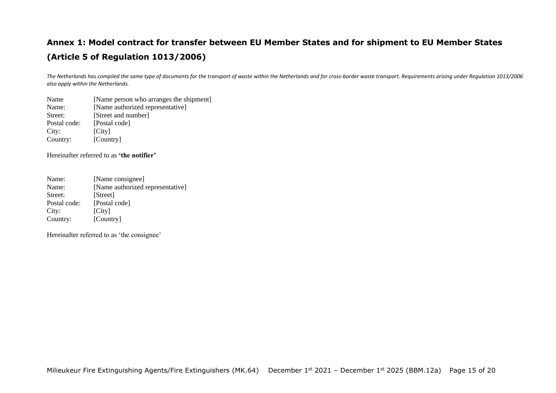## <span id="page-14-0"></span>**Annex 1: Model contract for transfer between EU Member States and for shipment to EU Member States (Article 5 of Regulation 1013/2006)**

*The Netherlands has compiled the same type of documents for the transport of waste within the Netherlands and for cross-border waste transport. Requirements arising under Regulation 1013/2006 also apply within the Netherlands.* 

Name [Name person who arranges the shipment] Name: [Name authorized representative] Street: [Street and number] Postal code: [Postal code]<br>City: [City] [City] Country: [Country]

Hereinafter referred to as **'the notifier'**

Name: [Name consignee] Name: [Name authorized representative] Street: [Street] Postal code: [Postal code] City: [City] Country: [Country]

Hereinafter referred to as 'the consignee'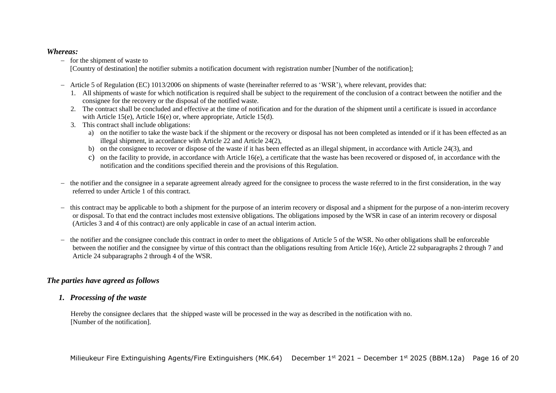#### *Whereas:*

− for the shipment of waste to

[Country of destination] the notifier submits a notification document with registration number [Number of the notification];

- − Article 5 of Regulation (EC) 1013/2006 on shipments of waste (hereinafter referred to as 'WSR'), where relevant, provides that:
	- 1. All shipments of waste for which notification is required shall be subject to the requirement of the conclusion of a contract between the notifier and the consignee for the recovery or the disposal of the notified waste.
	- 2. The contract shall be concluded and effective at the time of notification and for the duration of the shipment until a certificate is issued in accordance with Article 15(e), Article 16(e) or, where appropriate, Article 15(d).
	- 3. This contract shall include obligations:
		- a) on the notifier to take the waste back if the shipment or the recovery or disposal has not been completed as intended or if it has been effected as an illegal shipment, in accordance with Article 22 and Article 24(2),
		- b) on the consignee to recover or dispose of the waste if it has been effected as an illegal shipment, in accordance with Article 24(3), and
		- c) on the facility to provide, in accordance with Article 16(e), a certificate that the waste has been recovered or disposed of, in accordance with the notification and the conditions specified therein and the provisions of this Regulation.
- − the notifier and the consignee in a separate agreement already agreed for the consignee to process the waste referred to in the first consideration, in the way referred to under Article 1 of this contract.
- − this contract may be applicable to both a shipment for the purpose of an interim recovery or disposal and a shipment for the purpose of a non-interim recovery or disposal. To that end the contract includes most extensive obligations. The obligations imposed by the WSR in case of an interim recovery or disposal (Articles 3 and 4 of this contract) are only applicable in case of an actual interim action.
- − the notifier and the consignee conclude this contract in order to meet the obligations of Article 5 of the WSR. No other obligations shall be enforceable between the notifier and the consignee by virtue of this contract than the obligations resulting from Article 16(e), Article 22 subparagraphs 2 through 7 and Article 24 subparagraphs 2 through 4 of the WSR.

### *The parties have agreed as follows*

### *1. Processing of the waste*

Hereby the consignee declares that the shipped waste will be processed in the way as described in the notification with no. [Number of the notification].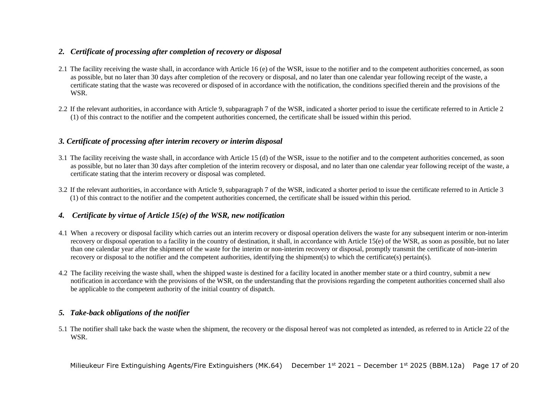#### *2. Certificate of processing after completion of recovery or disposal*

- 2.1 The facility receiving the waste shall, in accordance with Article 16 (e) of the WSR, issue to the notifier and to the competent authorities concerned, as soon as possible, but no later than 30 days after completion of the recovery or disposal, and no later than one calendar year following receipt of the waste, a certificate stating that the waste was recovered or disposed of in accordance with the notification, the conditions specified therein and the provisions of the WSR.
- 2.2 If the relevant authorities, in accordance with Article 9, subparagraph 7 of the WSR, indicated a shorter period to issue the certificate referred to in Article 2 (1) of this contract to the notifier and the competent authorities concerned, the certificate shall be issued within this period.

#### *3. Certificate of processing after interim recovery or interim disposal*

- 3.1 The facility receiving the waste shall, in accordance with Article 15 (d) of the WSR, issue to the notifier and to the competent authorities concerned, as soon as possible, but no later than 30 days after completion of the interim recovery or disposal, and no later than one calendar year following receipt of the waste, a certificate stating that the interim recovery or disposal was completed.
- 3.2 If the relevant authorities, in accordance with Article 9, subparagraph 7 of the WSR, indicated a shorter period to issue the certificate referred to in Article 3 (1) of this contract to the notifier and the competent authorities concerned, the certificate shall be issued within this period.

#### *4. Certificate by virtue of Article 15(e) of the WSR, new notification*

- 4.1 When a recovery or disposal facility which carries out an interim recovery or disposal operation delivers the waste for any subsequent interim or non-interim recovery or disposal operation to a facility in the country of destination, it shall, in accordance with Article 15(e) of the WSR, as soon as possible, but no later than one calendar year after the shipment of the waste for the interim or non-interim recovery or disposal, promptly transmit the certificate of non-interim recovery or disposal to the notifier and the competent authorities, identifying the shipment(s) to which the certificate(s) pertain(s).
- 4.2 The facility receiving the waste shall, when the shipped waste is destined for a facility located in another member state or a third country, submit a new notification in accordance with the provisions of the WSR, on the understanding that the provisions regarding the competent authorities concerned shall also be applicable to the competent authority of the initial country of dispatch.

#### *5. Take-back obligations of the notifier*

5.1 The notifier shall take back the waste when the shipment, the recovery or the disposal hereof was not completed as intended, as referred to in Article 22 of the WSR.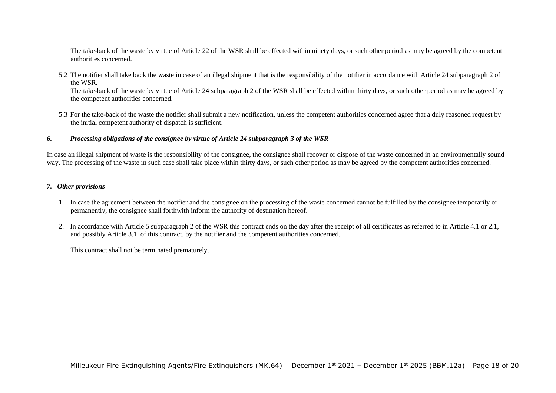The take-back of the waste by virtue of Article 22 of the WSR shall be effected within ninety days, or such other period as may be agreed by the competent authorities concerned.

5.2 The notifier shall take back the waste in case of an illegal shipment that is the responsibility of the notifier in accordance with Article 24 subparagraph 2 of the WSR. The take-back of the waste by virtue of Article 24 subparagraph 2 of the WSR shall be effected within thirty days, or such other period as may be agreed by

the competent authorities concerned.

5.3 For the take-back of the waste the notifier shall submit a new notification, unless the competent authorities concerned agree that a duly reasoned request by the initial competent authority of dispatch is sufficient.

#### *6. Processing obligations of the consignee by virtue of Article 24 subparagraph 3 of the WSR*

In case an illegal shipment of waste is the responsibility of the consignee, the consignee shall recover or dispose of the waste concerned in an environmentally sound way. The processing of the waste in such case shall take place within thirty days, or such other period as may be agreed by the competent authorities concerned.

#### *7. Other provisions*

- 1. In case the agreement between the notifier and the consignee on the processing of the waste concerned cannot be fulfilled by the consignee temporarily or permanently, the consignee shall forthwith inform the authority of destination hereof.
- 2. In accordance with Article 5 subparagraph 2 of the WSR this contract ends on the day after the receipt of all certificates as referred to in Article 4.1 or 2.1, and possibly Article 3.1, of this contract, by the notifier and the competent authorities concerned.

This contract shall not be terminated prematurely.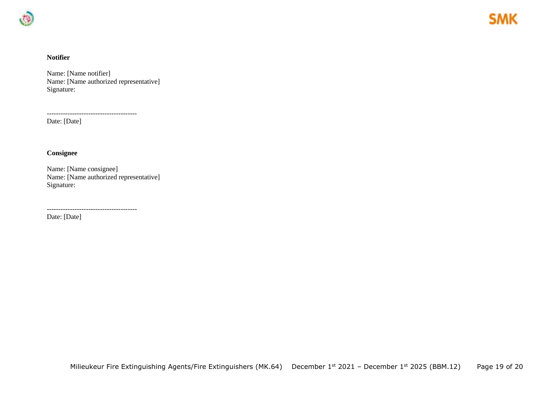

#### **Notifier**

Name: [Name notifier] Name: [Name authorized representative] Signature:

---------------------------------------

Date: [Date]

#### **Consignee**

Name: [Name consignee] Name: [Name authorized representative] Signature:

---------------------------------------

Date: [Date]